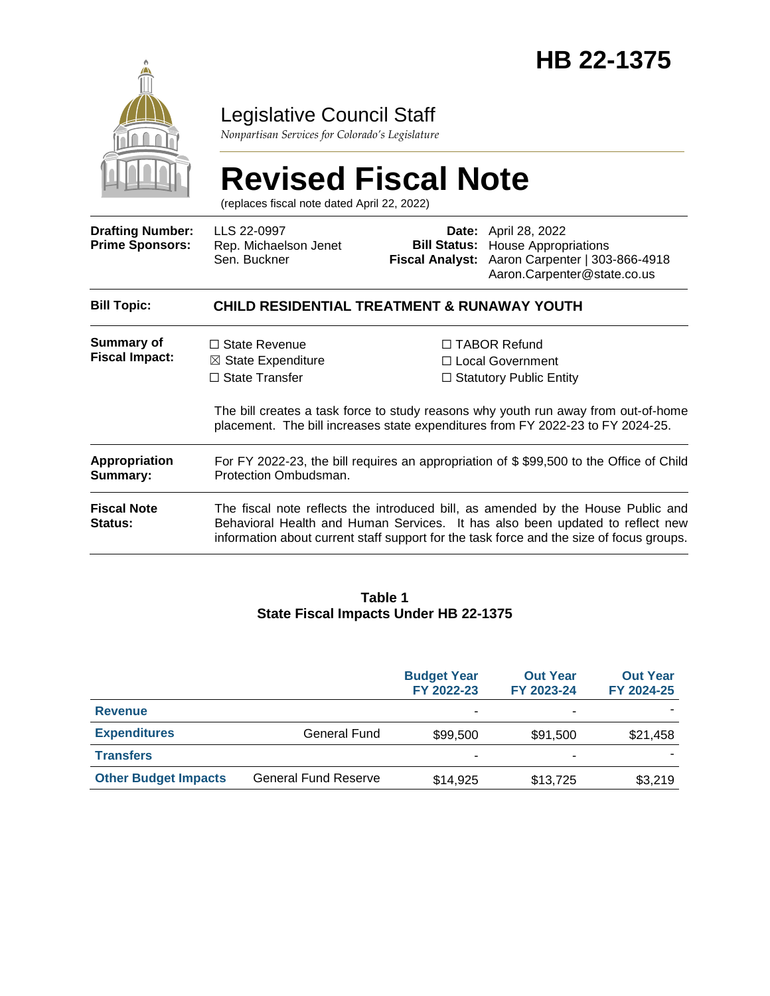

# Legislative Council Staff

*Nonpartisan Services for Colorado's Legislature*

# **Revised Fiscal Note**

(replaces fiscal note dated April 22, 2022)

| LLS 22-0997<br>Rep. Michaelson Jenet<br>Sen. Buckner                                                                                                                                                                                                          |  | <b>Date:</b> April 28, 2022<br><b>Bill Status:</b> House Appropriations<br>Fiscal Analyst: Aaron Carpenter   303-866-4918<br>Aaron.Carpenter@state.co.us                                                                        |  |
|---------------------------------------------------------------------------------------------------------------------------------------------------------------------------------------------------------------------------------------------------------------|--|---------------------------------------------------------------------------------------------------------------------------------------------------------------------------------------------------------------------------------|--|
|                                                                                                                                                                                                                                                               |  |                                                                                                                                                                                                                                 |  |
| $\Box$ State Revenue<br>$\boxtimes$ State Expenditure<br>$\Box$ State Transfer                                                                                                                                                                                |  | $\Box$ TABOR Refund<br>$\Box$ Local Government<br>$\Box$ Statutory Public Entity                                                                                                                                                |  |
| For FY 2022-23, the bill requires an appropriation of \$\$99,500 to the Office of Child<br>Protection Ombudsman.                                                                                                                                              |  |                                                                                                                                                                                                                                 |  |
| The fiscal note reflects the introduced bill, as amended by the House Public and<br>Behavioral Health and Human Services. It has also been updated to reflect new<br>information about current staff support for the task force and the size of focus groups. |  |                                                                                                                                                                                                                                 |  |
|                                                                                                                                                                                                                                                               |  | <b>CHILD RESIDENTIAL TREATMENT &amp; RUNAWAY YOUTH</b><br>The bill creates a task force to study reasons why youth run away from out-of-home<br>placement. The bill increases state expenditures from FY 2022-23 to FY 2024-25. |  |

#### **Table 1 State Fiscal Impacts Under HB 22-1375**

|                             |                             | <b>Budget Year</b><br>FY 2022-23 | <b>Out Year</b><br>FY 2023-24 | <b>Out Year</b><br>FY 2024-25 |
|-----------------------------|-----------------------------|----------------------------------|-------------------------------|-------------------------------|
| <b>Revenue</b>              |                             | ۰                                | ۰                             |                               |
| <b>Expenditures</b>         | General Fund                | \$99,500                         | \$91,500                      | \$21,458                      |
| <b>Transfers</b>            |                             | -                                | -                             |                               |
| <b>Other Budget Impacts</b> | <b>General Fund Reserve</b> | \$14,925                         | \$13,725                      | \$3,219                       |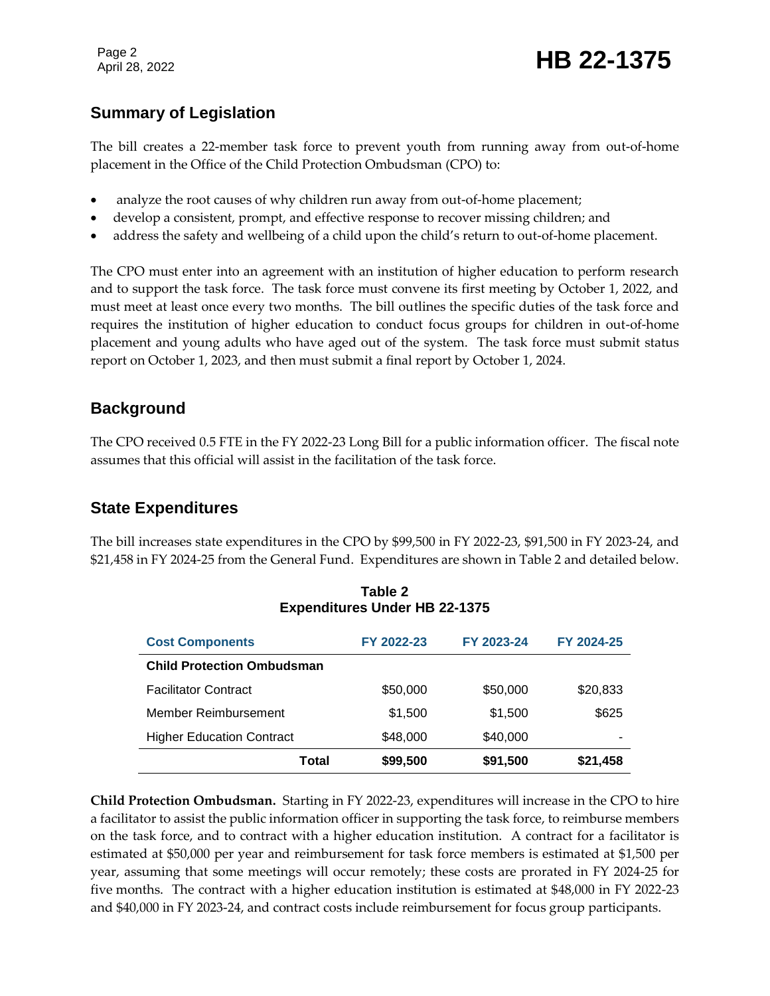Page 2

# **Summary of Legislation**

The bill creates a 22-member task force to prevent youth from running away from out-of-home placement in the Office of the Child Protection Ombudsman (CPO) to:

- analyze the root causes of why children run away from out-of-home placement;
- develop a consistent, prompt, and effective response to recover missing children; and
- address the safety and wellbeing of a child upon the child's return to out-of-home placement.

The CPO must enter into an agreement with an institution of higher education to perform research and to support the task force. The task force must convene its first meeting by October 1, 2022, and must meet at least once every two months. The bill outlines the specific duties of the task force and requires the institution of higher education to conduct focus groups for children in out-of-home placement and young adults who have aged out of the system. The task force must submit status report on October 1, 2023, and then must submit a final report by October 1, 2024.

# **Background**

The CPO received 0.5 FTE in the FY 2022-23 Long Bill for a public information officer. The fiscal note assumes that this official will assist in the facilitation of the task force.

## **State Expenditures**

The bill increases state expenditures in the CPO by \$99,500 in FY 2022-23, \$91,500 in FY 2023-24, and \$21,458 in FY 2024-25 from the General Fund. Expenditures are shown in Table 2 and detailed below.

| <b>Cost Components</b>            | FY 2022-23 | FY 2023-24 | FY 2024-25 |
|-----------------------------------|------------|------------|------------|
| <b>Child Protection Ombudsman</b> |            |            |            |
| <b>Facilitator Contract</b>       | \$50,000   | \$50,000   | \$20,833   |
| Member Reimbursement              | \$1,500    | \$1,500    | \$625      |
| <b>Higher Education Contract</b>  | \$48,000   | \$40,000   | -          |
| Total                             | \$99,500   | \$91,500   | \$21,458   |

#### **Table 2 Expenditures Under HB 22-1375**

**Child Protection Ombudsman.** Starting in FY 2022-23, expenditures will increase in the CPO to hire a facilitator to assist the public information officer in supporting the task force, to reimburse members on the task force, and to contract with a higher education institution.A contract for a facilitator is estimated at \$50,000 per year and reimbursement for task force members is estimated at \$1,500 per year, assuming that some meetings will occur remotely; these costs are prorated in FY 2024-25 for five months. The contract with a higher education institution is estimated at \$48,000 in FY 2022-23 and \$40,000 in FY 2023-24, and contract costs include reimbursement for focus group participants.